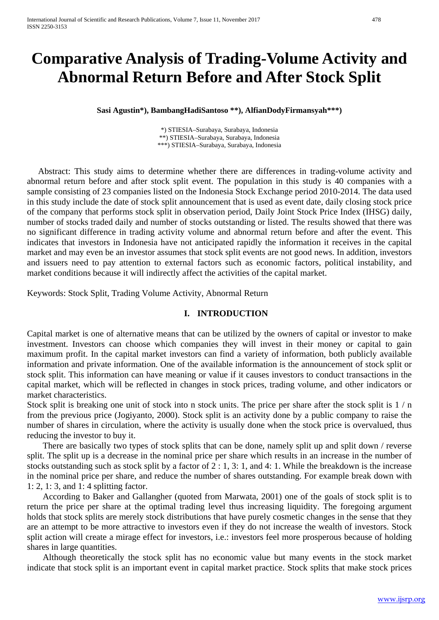# **Comparative Analysis of Trading-Volume Activity and Abnormal Return Before and After Stock Split**

**Sasi Agustin\*), BambangHadiSantoso \*\*), AlfianDodyFirmansyah\*\*\*)**

\*) STIESIA–Surabaya, Surabaya, Indonesia \*\*) STIESIA–Surabaya, Surabaya, Indonesia \*\*\*) STIESIA–Surabaya, Surabaya, Indonesia

 Abstract: This study aims to determine whether there are differences in trading-volume activity and abnormal return before and after stock split event. The population in this study is 40 companies with a sample consisting of 23 companies listed on the Indonesia Stock Exchange period 2010-2014. The data used in this study include the date of stock split announcement that is used as event date, daily closing stock price of the company that performs stock split in observation period, Daily Joint Stock Price Index (IHSG) daily, number of stocks traded daily and number of stocks outstanding or listed. The results showed that there was no significant difference in trading activity volume and abnormal return before and after the event. This indicates that investors in Indonesia have not anticipated rapidly the information it receives in the capital market and may even be an investor assumes that stock split events are not good news. In addition, investors and issuers need to pay attention to external factors such as economic factors, political instability, and market conditions because it will indirectly affect the activities of the capital market.

Keywords: Stock Split, Trading Volume Activity, Abnormal Return

## **I. INTRODUCTION**

Capital market is one of alternative means that can be utilized by the owners of capital or investor to make investment. Investors can choose which companies they will invest in their money or capital to gain maximum profit. In the capital market investors can find a variety of information, both publicly available information and private information. One of the available information is the announcement of stock split or stock split. This information can have meaning or value if it causes investors to conduct transactions in the capital market, which will be reflected in changes in stock prices, trading volume, and other indicators or market characteristics.

Stock split is breaking one unit of stock into n stock units. The price per share after the stock split is  $1/n$ from the previous price (Jogiyanto, 2000). Stock split is an activity done by a public company to raise the number of shares in circulation, where the activity is usually done when the stock price is overvalued, thus reducing the investor to buy it.

There are basically two types of stock splits that can be done, namely split up and split down / reverse split. The split up is a decrease in the nominal price per share which results in an increase in the number of stocks outstanding such as stock split by a factor of 2 : 1, 3: 1, and 4: 1. While the breakdown is the increase in the nominal price per share, and reduce the number of shares outstanding. For example break down with 1: 2, 1: 3, and 1: 4 splitting factor.

According to Baker and Gallangher (quoted from Marwata, 2001) one of the goals of stock split is to return the price per share at the optimal trading level thus increasing liquidity. The foregoing argument holds that stock splits are merely stock distributions that have purely cosmetic changes in the sense that they are an attempt to be more attractive to investors even if they do not increase the wealth of investors. Stock split action will create a mirage effect for investors, i.e.: investors feel more prosperous because of holding shares in large quantities.

Although theoretically the stock split has no economic value but many events in the stock market indicate that stock split is an important event in capital market practice. Stock splits that make stock prices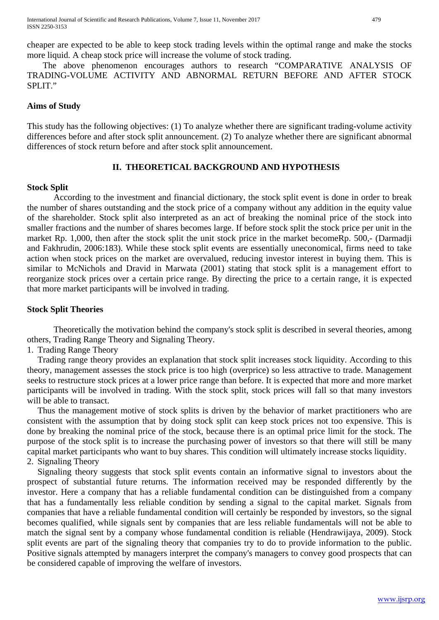The above phenomenon encourages authors to research "COMPARATIVE ANALYSIS OF TRADING-VOLUME ACTIVITY AND ABNORMAL RETURN BEFORE AND AFTER STOCK SPLIT."

## **Aims of Study**

This study has the following objectives: (1) To analyze whether there are significant trading-volume activity differences before and after stock split announcement. (2) To analyze whether there are significant abnormal differences of stock return before and after stock split announcement.

# **II. THEORETICAL BACKGROUND AND HYPOTHESIS**

### **Stock Split**

According to the investment and financial dictionary, the stock split event is done in order to break the number of shares outstanding and the stock price of a company without any addition in the equity value of the shareholder. Stock split also interpreted as an act of breaking the nominal price of the stock into smaller fractions and the number of shares becomes large. If before stock split the stock price per unit in the market Rp. 1,000, then after the stock split the unit stock price in the market becomeRp. 500,- (Darmadji and Fakhrudin, 2006:183). While these stock split events are essentially uneconomical, firms need to take action when stock prices on the market are overvalued, reducing investor interest in buying them. This is similar to McNichols and Dravid in Marwata (2001) stating that stock split is a management effort to reorganize stock prices over a certain price range. By directing the price to a certain range, it is expected that more market participants will be involved in trading.

### **Stock Split Theories**

Theoretically the motivation behind the company's stock split is described in several theories, among others, Trading Range Theory and Signaling Theory.

1. Trading Range Theory

Trading range theory provides an explanation that stock split increases stock liquidity. According to this theory, management assesses the stock price is too high (overprice) so less attractive to trade. Management seeks to restructure stock prices at a lower price range than before. It is expected that more and more market participants will be involved in trading. With the stock split, stock prices will fall so that many investors will be able to transact.

Thus the management motive of stock splits is driven by the behavior of market practitioners who are consistent with the assumption that by doing stock split can keep stock prices not too expensive. This is done by breaking the nominal price of the stock, because there is an optimal price limit for the stock. The purpose of the stock split is to increase the purchasing power of investors so that there will still be many capital market participants who want to buy shares. This condition will ultimately increase stocks liquidity. 2. Signaling Theory

Signaling theory suggests that stock split events contain an informative signal to investors about the prospect of substantial future returns. The information received may be responded differently by the investor. Here a company that has a reliable fundamental condition can be distinguished from a company that has a fundamentally less reliable condition by sending a signal to the capital market. Signals from companies that have a reliable fundamental condition will certainly be responded by investors, so the signal becomes qualified, while signals sent by companies that are less reliable fundamentals will not be able to match the signal sent by a company whose fundamental condition is reliable (Hendrawijaya, 2009). Stock split events are part of the signaling theory that companies try to do to provide information to the public. Positive signals attempted by managers interpret the company's managers to convey good prospects that can be considered capable of improving the welfare of investors.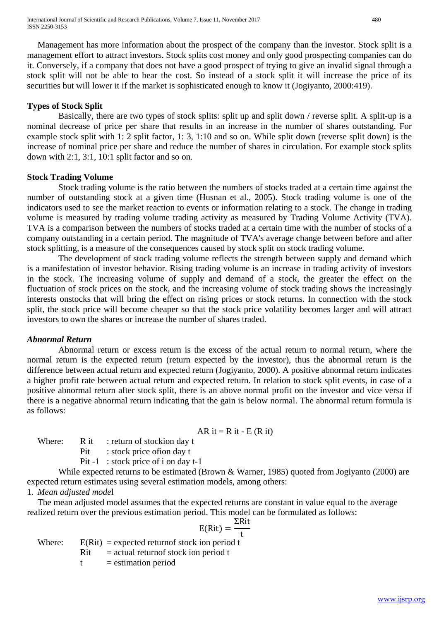Management has more information about the prospect of the company than the investor. Stock split is a management effort to attract investors. Stock splits cost money and only good prospecting companies can do it. Conversely, if a company that does not have a good prospect of trying to give an invalid signal through a stock split will not be able to bear the cost. So instead of a stock split it will increase the price of its securities but will lower it if the market is sophisticated enough to know it (Jogiyanto, 2000:419).

## **Types of Stock Split**

Basically, there are two types of stock splits: split up and split down / reverse split. A split-up is a nominal decrease of price per share that results in an increase in the number of shares outstanding. For example stock split with 1: 2 split factor, 1: 3, 1:10 and so on. While split down (reverse split down) is the increase of nominal price per share and reduce the number of shares in circulation. For example stock splits down with 2:1, 3:1, 10:1 split factor and so on.

### **Stock Trading Volume**

Stock trading volume is the ratio between the numbers of stocks traded at a certain time against the number of outstanding stock at a given time (Husnan et al., 2005). Stock trading volume is one of the indicators used to see the market reaction to events or information relating to a stock. The change in trading volume is measured by trading volume trading activity as measured by Trading Volume Activity (TVA). TVA is a comparison between the numbers of stocks traded at a certain time with the number of stocks of a company outstanding in a certain period. The magnitude of TVA's average change between before and after stock splitting, is a measure of the consequences caused by stock split on stock trading volume.

The development of stock trading volume reflects the strength between supply and demand which is a manifestation of investor behavior. Rising trading volume is an increase in trading activity of investors in the stock. The increasing volume of supply and demand of a stock, the greater the effect on the fluctuation of stock prices on the stock, and the increasing volume of stock trading shows the increasingly interests onstocks that will bring the effect on rising prices or stock returns. In connection with the stock split, the stock price will become cheaper so that the stock price volatility becomes larger and will attract investors to own the shares or increase the number of shares traded.

### *Abnormal Return*

Abnormal return or excess return is the excess of the actual return to normal return, where the normal return is the expected return (return expected by the investor), thus the abnormal return is the difference between actual return and expected return (Jogiyanto, 2000). A positive abnormal return indicates a higher profit rate between actual return and expected return. In relation to stock split events, in case of a positive abnormal return after stock split, there is an above normal profit on the investor and vice versa if there is a negative abnormal return indicating that the gain is below normal. The abnormal return formula is as follows:

AR it = R it - E (R it)

Where:  $R it$ : return of stockion day t Pit : stock price of ion day t Pit -1 : stock price of i on day t-1

While expected returns to be estimated (Brown & Warner, 1985) quoted from Jogiyanto (2000) are expected return estimates using several estimation models, among others:

1. *Mean adjusted mode*l

The mean adjusted model assumes that the expected returns are constant in value equal to the average realized return over the previous estimation period. This model can be formulated as follows:

$$
E(Rit) = \frac{\Sigma Rit}{t}
$$

t Where:  $E(Rit) = expected$  returnof stock ion period t  $Rit$  = actual returnof stock ion period t  $t =$  estimation period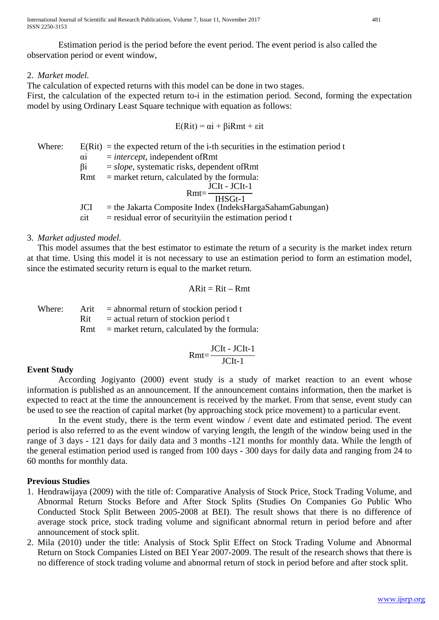Estimation period is the period before the event period. The event period is also called the observation period or event window,

## 2. *Market model.*

The calculation of expected returns with this model can be done in two stages.

First, the calculation of the expected return to-i in the estimation period. Second, forming the expectation model by using Ordinary Least Square technique with equation as follows:

$$
E(Rit) = \alpha i + \beta i Rmt + \varepsilon it
$$

Where:  $E(Rit) =$  the expected return of the i-th securities in the estimation period t αi = *intercept*, independent ofRmt βi = *slope*, systematic risks, dependent ofRmt  $Rmt$  = market return, calculated by the formula: Rmt= JCIt - JCIt-1 IHSGt-1 JCI = the Jakarta Composite Index (IndeksHargaSahamGabungan)  $\epsilon$  = residual error of securityiin the estimation period t

### 3. *Market adjusted model.*

This model assumes that the best estimator to estimate the return of a security is the market index return at that time. Using this model it is not necessary to use an estimation period to form an estimation model, since the estimated security return is equal to the market return.

$$
ARit = Rit - Rmt
$$

Where: Arit  $=$  abnormal return of stockion period t  $Rit$  = actual return of stockion period t  $Rmt$  = market return, calculated by the formula:

$$
Rmt = \frac{JCIt - JClt - 1}{JCIt - 1}
$$

# **Event Study**

According Jogiyanto (2000) event study is a study of market reaction to an event whose information is published as an announcement. If the announcement contains information, then the market is expected to react at the time the announcement is received by the market. From that sense, event study can be used to see the reaction of capital market (by approaching stock price movement) to a particular event.

In the event study, there is the term event window / event date and estimated period. The event period is also referred to as the event window of varying length, the length of the window being used in the range of 3 days - 121 days for daily data and 3 months -121 months for monthly data. While the length of the general estimation period used is ranged from 100 days - 300 days for daily data and ranging from 24 to 60 months for monthly data.

# **Previous Studies**

- 1. Hendrawijaya (2009) with the title of: Comparative Analysis of Stock Price, Stock Trading Volume, and Abnormal Return Stocks Before and After Stock Splits (Studies On Companies Go Public Who Conducted Stock Split Between 2005-2008 at BEI). The result shows that there is no difference of average stock price, stock trading volume and significant abnormal return in period before and after announcement of stock split.
- 2. Mila (2010) under the title: Analysis of Stock Split Effect on Stock Trading Volume and Abnormal Return on Stock Companies Listed on BEI Year 2007-2009. The result of the research shows that there is no difference of stock trading volume and abnormal return of stock in period before and after stock split.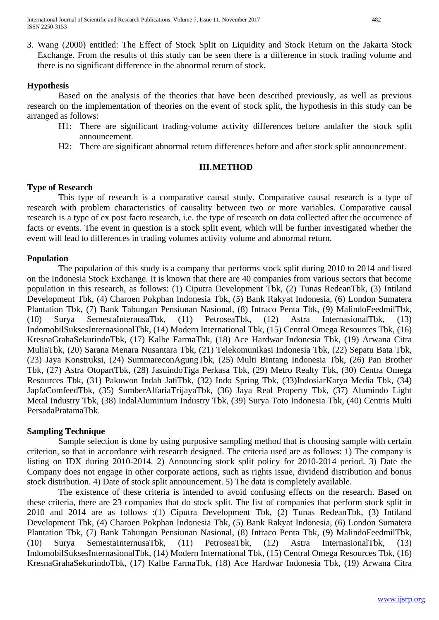3. Wang (2000) entitled: The Effect of Stock Split on Liquidity and Stock Return on the Jakarta Stock Exchange. From the results of this study can be seen there is a difference in stock trading volume and there is no significant difference in the abnormal return of stock.

# **Hypothesis**

Based on the analysis of the theories that have been described previously, as well as previous research on the implementation of theories on the event of stock split, the hypothesis in this study can be arranged as follows:

- H1: There are significant trading-volume activity differences before andafter the stock split announcement.
- H2: There are significant abnormal return differences before and after stock split announcement.

# **III.METHOD**

# **Type of Research**

This type of research is a comparative causal study. Comparative causal research is a type of research with problem characteristics of causality between two or more variables. Comparative causal research is a type of ex post facto research, i.e. the type of research on data collected after the occurrence of facts or events. The event in question is a stock split event, which will be further investigated whether the event will lead to differences in trading volumes activity volume and abnormal return.

# **Population**

The population of this study is a company that performs stock split during 2010 to 2014 and listed on the Indonesia Stock Exchange. It is known that there are 40 companies from various sectors that become population in this research, as follows: (1) Ciputra Development Tbk, (2) Tunas RedeanTbk, (3) Intiland Development Tbk, (4) Charoen Pokphan Indonesia Tbk, (5) Bank Rakyat Indonesia, (6) London Sumatera Plantation Tbk, (7) Bank Tabungan Pensiunan Nasional, (8) Intraco Penta Tbk, (9) MalindoFeedmilTbk, (10) Surya SemestaInternusaTbk, (11) PetroseaTbk, (12) Astra InternasionalTbk, (13) IndomobilSuksesInternasionalTbk, (14) Modern International Tbk, (15) Central Omega Resources Tbk, (16) KresnaGrahaSekurindoTbk, (17) Kalbe FarmaTbk, (18) Ace Hardwar Indonesia Tbk, (19) Arwana Citra MuliaTbk, (20) Sarana Menara Nusantara Tbk, (21) Telekomunikasi Indonesia Tbk, (22) Sepatu Bata Tbk, (23) Jaya Konstruksi, (24) SummareconAgungTbk, (25) Multi Bintang Indonesia Tbk, (26) Pan Brother Tbk, (27) Astra OtopartTbk, (28) JasuindoTiga Perkasa Tbk, (29) Metro Realty Tbk, (30) Centra Omega Resources Tbk, (31) Pakuwon Indah JatiTbk, (32) Indo Spring Tbk, (33)IndosiarKarya Media Tbk, (34) JapfaComfeedTbk, (35) SumberAlfariaTrijayaTbk, (36) Jaya Real Property Tbk, (37) Alumindo Light Metal Industry Tbk, (38) IndalAluminium Industry Tbk, (39) Surya Toto Indonesia Tbk, (40) Centris Multi PersadaPratamaTbk.

# **Sampling Technique**

Sample selection is done by using purposive sampling method that is choosing sample with certain criterion, so that in accordance with research designed. The criteria used are as follows: 1) The company is listing on IDX during 2010-2014. 2) Announcing stock split policy for 2010-2014 period. 3) Date the Company does not engage in other corporate actions, such as rights issue, dividend distribution and bonus stock distribution. 4) Date of stock split announcement. 5) The data is completely available.

The existence of these criteria is intended to avoid confusing effects on the research. Based on these criteria, there are 23 companies that do stock split. The list of companies that perform stock split in 2010 and 2014 are as follows :(1) Ciputra Development Tbk, (2) Tunas RedeanTbk, (3) Intiland Development Tbk, (4) Charoen Pokphan Indonesia Tbk, (5) Bank Rakyat Indonesia, (6) London Sumatera Plantation Tbk, (7) Bank Tabungan Pensiunan Nasional, (8) Intraco Penta Tbk, (9) MalindoFeedmilTbk, (10) Surya SemestaInternusaTbk, (11) PetroseaTbk, (12) Astra InternasionalTbk, (13) IndomobilSuksesInternasionalTbk, (14) Modern International Tbk, (15) Central Omega Resources Tbk, (16) KresnaGrahaSekurindoTbk, (17) Kalbe FarmaTbk, (18) Ace Hardwar Indonesia Tbk, (19) Arwana Citra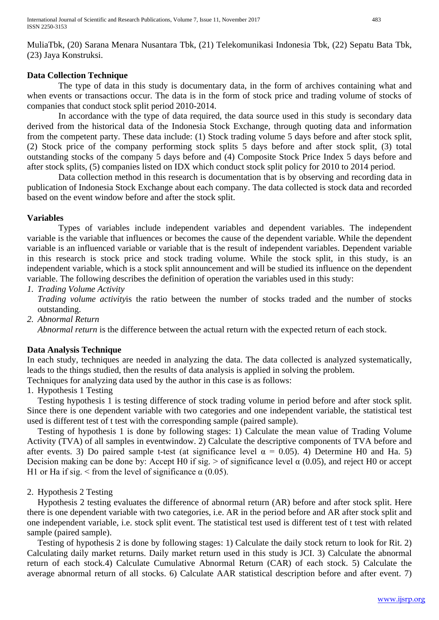MuliaTbk, (20) Sarana Menara Nusantara Tbk, (21) Telekomunikasi Indonesia Tbk, (22) Sepatu Bata Tbk, (23) Jaya Konstruksi.

## **Data Collection Technique**

The type of data in this study is documentary data, in the form of archives containing what and when events or transactions occur. The data is in the form of stock price and trading volume of stocks of companies that conduct stock split period 2010-2014.

In accordance with the type of data required, the data source used in this study is secondary data derived from the historical data of the Indonesia Stock Exchange, through quoting data and information from the competent party. These data include: (1) Stock trading volume 5 days before and after stock split, (2) Stock price of the company performing stock splits 5 days before and after stock split, (3) total outstanding stocks of the company 5 days before and (4) Composite Stock Price Index 5 days before and after stock splits, (5) companies listed on IDX which conduct stock split policy for 2010 to 2014 period.

Data collection method in this research is documentation that is by observing and recording data in publication of Indonesia Stock Exchange about each company. The data collected is stock data and recorded based on the event window before and after the stock split.

## **Variables**

Types of variables include independent variables and dependent variables. The independent variable is the variable that influences or becomes the cause of the dependent variable. While the dependent variable is an influenced variable or variable that is the result of independent variables. Dependent variable in this research is stock price and stock trading volume. While the stock split, in this study, is an independent variable, which is a stock split announcement and will be studied its influence on the dependent variable. The following describes the definition of operation the variables used in this study:

*1. Trading Volume Activity*

*Trading volume activity*is the ratio between the number of stocks traded and the number of stocks outstanding.

*2. Abnormal Return*

*Abnormal return* is the difference between the actual return with the expected return of each stock.

# **Data Analysis Technique**

In each study, techniques are needed in analyzing the data. The data collected is analyzed systematically, leads to the things studied, then the results of data analysis is applied in solving the problem. Techniques for analyzing data used by the author in this case is as follows:

1. Hypothesis 1 Testing

Testing hypothesis 1 is testing difference of stock trading volume in period before and after stock split. Since there is one dependent variable with two categories and one independent variable, the statistical test used is different test of t test with the corresponding sample (paired sample).

Testing of hypothesis 1 is done by following stages: 1) Calculate the mean value of Trading Volume Activity (TVA) of all samples in eventwindow. 2) Calculate the descriptive components of TVA before and after events. 3) Do paired sample t-test (at significance level  $\alpha = 0.05$ ). 4) Determine H0 and Ha. 5) Decision making can be done by: Accept H0 if sig.  $>$  of significance level  $\alpha$  (0.05), and reject H0 or accept H1 or Ha if sig.  $\leq$  from the level of significance  $\alpha$  (0.05).

# 2. Hypothesis 2 Testing

Hypothesis 2 testing evaluates the difference of abnormal return (AR) before and after stock split. Here there is one dependent variable with two categories, i.e. AR in the period before and AR after stock split and one independent variable, i.e. stock split event. The statistical test used is different test of t test with related sample (paired sample).

Testing of hypothesis 2 is done by following stages: 1) Calculate the daily stock return to look for Rit. 2) Calculating daily market returns. Daily market return used in this study is JCI. 3) Calculate the abnormal return of each stock.4) Calculate Cumulative Abnormal Return (CAR) of each stock. 5) Calculate the average abnormal return of all stocks. 6) Calculate AAR statistical description before and after event. 7)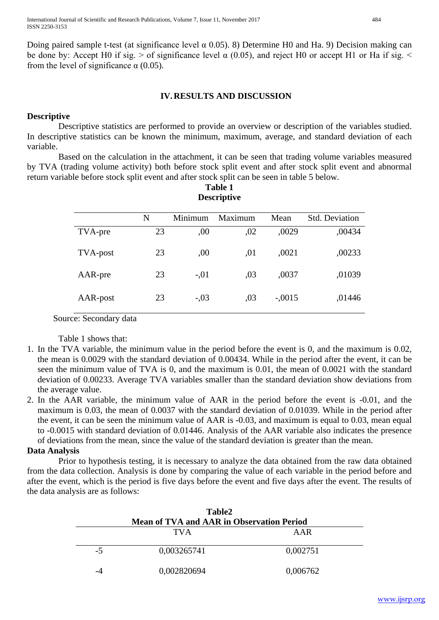Doing paired sample t-test (at significance level α 0.05). 8) Determine H0 and Ha. 9) Decision making can be done by: Accept H0 if sig.  $>$  of significance level  $\alpha$  (0.05), and reject H0 or accept H1 or Ha if sig.  $\leq$ from the level of significance  $\alpha$  (0.05).

## **IV.RESULTS AND DISCUSSION**

## **Descriptive**

Descriptive statistics are performed to provide an overview or description of the variables studied. In descriptive statistics can be known the minimum, maximum, average, and standard deviation of each variable.

Based on the calculation in the attachment, it can be seen that trading volume variables measured by TVA (trading volume activity) both before stock split event and after stock split event and abnormal return variable before stock split event and after stock split can be seen in table 5 below.

> **Table 1 Descriptive**

| Descriptive |    |         |         |          |                       |  |  |  |
|-------------|----|---------|---------|----------|-----------------------|--|--|--|
|             | N  | Minimum | Maximum | Mean     | <b>Std. Deviation</b> |  |  |  |
| TVA-pre     | 23 | ,00     | ,02     | ,0029    | ,00434                |  |  |  |
| TVA-post    | 23 | ,00     | ,01     | ,0021    | ,00233                |  |  |  |
| AAR-pre     | 23 | $-.01$  | ,03     | ,0037    | ,01039                |  |  |  |
| AAR-post    | 23 | $-.03$  | ,03     | $-.0015$ | ,01446                |  |  |  |

Source: Secondary data

Table 1 shows that:

- 1. In the TVA variable, the minimum value in the period before the event is 0, and the maximum is 0.02, the mean is 0.0029 with the standard deviation of 0.00434. While in the period after the event, it can be seen the minimum value of TVA is 0, and the maximum is 0.01, the mean of 0.0021 with the standard deviation of 0.00233. Average TVA variables smaller than the standard deviation show deviations from the average value.
- 2. In the AAR variable, the minimum value of AAR in the period before the event is -0.01, and the maximum is 0.03, the mean of 0.0037 with the standard deviation of 0.01039. While in the period after the event, it can be seen the minimum value of AAR is -0.03, and maximum is equal to 0.03, mean equal to -0.0015 with standard deviation of 0.01446. Analysis of the AAR variable also indicates the presence of deviations from the mean, since the value of the standard deviation is greater than the mean.

### **Data Analysis**

Prior to hypothesis testing, it is necessary to analyze the data obtained from the raw data obtained from the data collection. Analysis is done by comparing the value of each variable in the period before and after the event, which is the period is five days before the event and five days after the event. The results of the data analysis are as follows:

| Table2<br><b>Mean of TVA and AAR in Observation Period</b> |             |          |  |  |  |
|------------------------------------------------------------|-------------|----------|--|--|--|
|                                                            | <b>TVA</b>  | AAR      |  |  |  |
| $-5$                                                       | 0,003265741 | 0,002751 |  |  |  |
| -4                                                         | 0,002820694 | 0,006762 |  |  |  |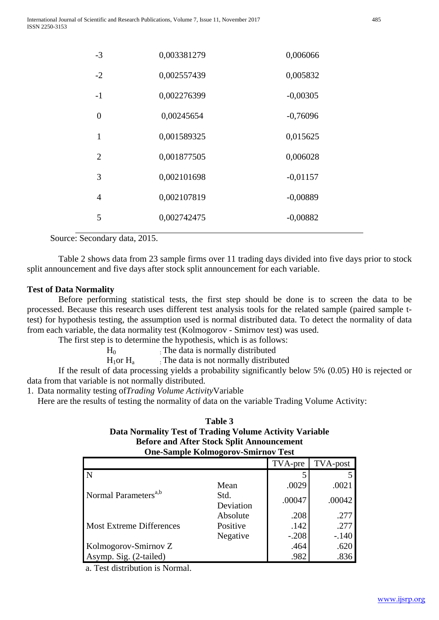| $-3$           | 0,003381279 | 0,006066   |
|----------------|-------------|------------|
| $-2$           | 0,002557439 | 0,005832   |
| $-1$           | 0,002276399 | $-0,00305$ |
| $\theta$       | 0,00245654  | $-0,76096$ |
| $\mathbf{1}$   | 0,001589325 | 0,015625   |
| 2              | 0,001877505 | 0,006028   |
| 3              | 0,002101698 | $-0,01157$ |
| $\overline{4}$ | 0,002107819 | $-0,00889$ |
| 5              | 0,002742475 | $-0,00882$ |

Source: Secondary data, 2015.

Table 2 shows data from 23 sample firms over 11 trading days divided into five days prior to stock split announcement and five days after stock split announcement for each variable.

## **Test of Data Normality**

Before performing statistical tests, the first step should be done is to screen the data to be processed. Because this research uses different test analysis tools for the related sample (paired sample ttest) for hypothesis testing, the assumption used is normal distributed data. To detect the normality of data from each variable, the data normality test (Kolmogorov - Smirnov test) was used.

The first step is to determine the hypothesis, which is as follows:

 $H<sub>0</sub>$  : The data is normally distributed

 $H_1$ or  $H_a$  : The data is not normally distributed

If the result of data processing yields a probability significantly below 5% (0.05) H0 is rejected or data from that variable is not normally distributed.

1. Data normality testing of*Trading Volume Activity*Variable

Here are the results of testing the normality of data on the variable Trading Volume Activity:

#### **Table 3 Data Normality Test of Trading Volume Activity Variable Before and After Stock Split Announcement One-Sample Kolmogorov-Smirnov Test**

| One-bampic isomnogol ov-binn nov Test |                   |         |                 |  |  |  |  |  |
|---------------------------------------|-------------------|---------|-----------------|--|--|--|--|--|
|                                       |                   | TVA-pre | <b>TVA-post</b> |  |  |  |  |  |
|                                       |                   |         |                 |  |  |  |  |  |
|                                       | Mean              | .0029   | .0021           |  |  |  |  |  |
| Normal Parameters <sup>a,b</sup>      | Std.<br>Deviation | .00047  | .00042          |  |  |  |  |  |
|                                       | Absolute          | .208    | .277            |  |  |  |  |  |
| <b>Most Extreme Differences</b>       | Positive          | .142    | .277            |  |  |  |  |  |
|                                       | Negative          | $-.208$ | $-.140$         |  |  |  |  |  |
| Kolmogorov-Smirnov Z                  |                   | .464    | .620            |  |  |  |  |  |
| Asymp. Sig. (2-tailed)                |                   | .982    | .836            |  |  |  |  |  |

a. Test distribution is Normal.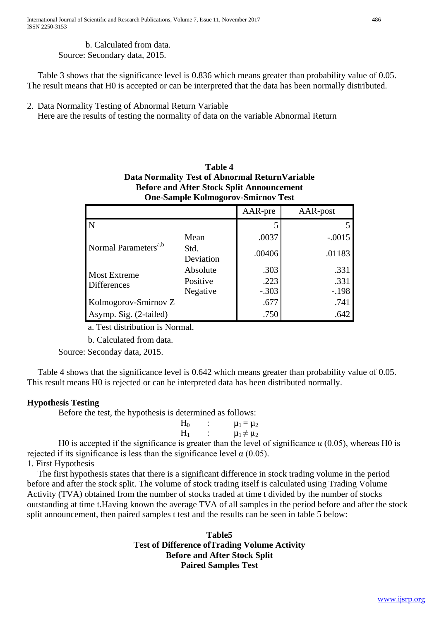b. Calculated from data. Source: Secondary data, 2015.

Table 3 shows that the significance level is 0.836 which means greater than probability value of 0.05. The result means that H0 is accepted or can be interpreted that the data has been normally distributed.

2. Data Normality Testing of Abnormal Return Variable

Here are the results of testing the normality of data on the variable Abnormal Return

|                                  | Data Normality Test of Abnormal Return Variable<br><b>Before and After Stock Split Announcement</b><br><b>One-Sample Kolmogorov-Smirnov Test</b> |         |          |
|----------------------------------|--------------------------------------------------------------------------------------------------------------------------------------------------|---------|----------|
|                                  |                                                                                                                                                  | AAR-pre | AAR-post |
| N                                |                                                                                                                                                  |         |          |
|                                  | Mean                                                                                                                                             | .0037   | $-.0015$ |
| Normal Parameters <sup>a,b</sup> | Std.<br>Deviation                                                                                                                                | .00406  | .01183   |
| <b>Most Extreme</b>              | Absolute                                                                                                                                         | .303    | .331     |
| <b>Differences</b>               | Positive                                                                                                                                         | .223    | .331     |
|                                  | Negative                                                                                                                                         | $-.303$ | $-.198$  |
| Kolmogorov-Smirnov Z             | .677                                                                                                                                             | .741    |          |
| Asymp. Sig. (2-tailed)           | .750                                                                                                                                             | .642    |          |

**Table 4**

a. Test distribution is Normal.

b. Calculated from data.

Source: Seconday data, 2015.

Table 4 shows that the significance level is 0.642 which means greater than probability value of 0.05. This result means H0 is rejected or can be interpreted data has been distributed normally.

# **Hypothesis Testing**

Before the test, the hypothesis is determined as follows:

| $H_0$ | $\mu_1 = \mu_2$    |
|-------|--------------------|
| $H_1$ | $\mu_1 \neq \mu_2$ |
|       | $-1$ $-1$ $-1$     |

H0 is accepted if the significance is greater than the level of significance  $\alpha$  (0.05), whereas H0 is rejected if its significance is less than the significance level  $\alpha$  (0.05). 1. First Hypothesis

The first hypothesis states that there is a significant difference in stock trading volume in the period before and after the stock split. The volume of stock trading itself is calculated using Trading Volume Activity (TVA) obtained from the number of stocks traded at time t divided by the number of stocks outstanding at time t.Having known the average TVA of all samples in the period before and after the stock split announcement, then paired samples t test and the results can be seen in table 5 below:

> **Table5 Test of Difference ofTrading Volume Activity Before and After Stock Split Paired Samples Test**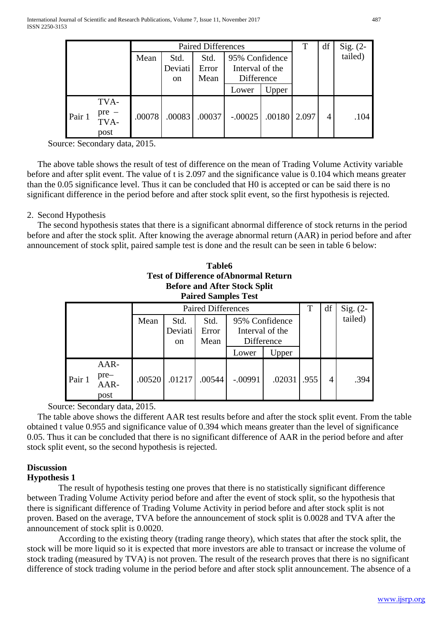|        | <b>Paired Differences</b> |        |               |        |                 | T      | df    | Sig. $(2-$ |         |
|--------|---------------------------|--------|---------------|--------|-----------------|--------|-------|------------|---------|
|        |                           | Mean   | Std.          | Std.   | 95% Confidence  |        |       |            | tailed) |
|        |                           |        | Deviati       | Error  | Interval of the |        |       |            |         |
|        |                           |        | <sub>on</sub> | Mean   | Difference      |        |       |            |         |
|        |                           |        |               |        | Lower           | Upper  |       |            |         |
|        | TVA-                      |        |               |        |                 |        |       |            |         |
| Pair 1 | $pre -$<br>TVA-<br>post   | .00078 | .00083        | .00037 | $-.00025$       | .00180 | 2.097 | 4          | .104    |

Source: Secondary data, 2015.

The above table shows the result of test of difference on the mean of Trading Volume Activity variable before and after split event. The value of t is 2.097 and the significance value is 0.104 which means greater than the 0.05 significance level. Thus it can be concluded that H0 is accepted or can be said there is no significant difference in the period before and after stock split event, so the first hypothesis is rejected.

### 2. Second Hypothesis

The second hypothesis states that there is a significant abnormal difference of stock returns in the period before and after the stock split. After knowing the average abnormal return (AAR) in period before and after announcement of stock split, paired sample test is done and the result can be seen in table 6 below:

|        |                                |        |                                  | Table6                    | <b>Test of Difference of Abnormal Return</b><br><b>Before and After Stock Split</b><br><b>Paired Samples Test</b> |        |      |    |            |
|--------|--------------------------------|--------|----------------------------------|---------------------------|-------------------------------------------------------------------------------------------------------------------|--------|------|----|------------|
|        |                                |        |                                  | <b>Paired Differences</b> |                                                                                                                   |        | T    | df | Sig. $(2-$ |
|        |                                | Mean   | Std.<br>Deviati<br><sub>on</sub> | Std.<br>Error<br>Mean     | 95% Confidence<br>Interval of the<br>Difference                                                                   |        |      |    | tailed)    |
|        |                                |        |                                  |                           | Lower                                                                                                             | Upper  |      |    |            |
| Pair 1 | AAR-<br>$pre-$<br>AAR-<br>post | .00520 | .01217                           | .00544                    | $-.00991$                                                                                                         | .02031 | .955 | 4  | .394       |

Source: Secondary data, 2015.

The table above shows the different AAR test results before and after the stock split event. From the table obtained t value 0.955 and significance value of 0.394 which means greater than the level of significance 0.05. Thus it can be concluded that there is no significant difference of AAR in the period before and after stock split event, so the second hypothesis is rejected.

# **Discussion**

### **Hypothesis 1**

The result of hypothesis testing one proves that there is no statistically significant difference between Trading Volume Activity period before and after the event of stock split, so the hypothesis that there is significant difference of Trading Volume Activity in period before and after stock split is not proven. Based on the average, TVA before the announcement of stock split is 0.0028 and TVA after the announcement of stock split is 0.0020.

According to the existing theory (trading range theory), which states that after the stock split, the stock will be more liquid so it is expected that more investors are able to transact or increase the volume of stock trading (measured by TVA) is not proven. The result of the research proves that there is no significant difference of stock trading volume in the period before and after stock split announcement. The absence of a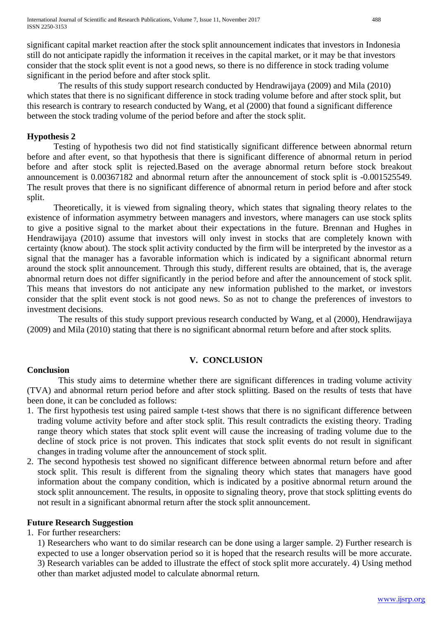significant capital market reaction after the stock split announcement indicates that investors in Indonesia still do not anticipate rapidly the information it receives in the capital market, or it may be that investors consider that the stock split event is not a good news, so there is no difference in stock trading volume significant in the period before and after stock split.

The results of this study support research conducted by Hendrawijaya (2009) and Mila (2010) which states that there is no significant difference in stock trading volume before and after stock split, but this research is contrary to research conducted by Wang, et al (2000) that found a significant difference between the stock trading volume of the period before and after the stock split.

## **Hypothesis 2**

Testing of hypothesis two did not find statistically significant difference between abnormal return before and after event, so that hypothesis that there is significant difference of abnormal return in period before and after stock split is rejected.Based on the average abnormal return before stock breakout announcement is 0.00367182 and abnormal return after the announcement of stock split is -0.001525549. The result proves that there is no significant difference of abnormal return in period before and after stock split.

Theoretically, it is viewed from signaling theory, which states that signaling theory relates to the existence of information asymmetry between managers and investors, where managers can use stock splits to give a positive signal to the market about their expectations in the future. Brennan and Hughes in Hendrawijaya (2010) assume that investors will only invest in stocks that are completely known with certainty (know about). The stock split activity conducted by the firm will be interpreted by the investor as a signal that the manager has a favorable information which is indicated by a significant abnormal return around the stock split announcement. Through this study, different results are obtained, that is, the average abnormal return does not differ significantly in the period before and after the announcement of stock split. This means that investors do not anticipate any new information published to the market, or investors consider that the split event stock is not good news. So as not to change the preferences of investors to investment decisions.

The results of this study support previous research conducted by Wang, et al (2000), Hendrawijaya (2009) and Mila (2010) stating that there is no significant abnormal return before and after stock splits.

### **V. CONCLUSION**

### **Conclusion**

This study aims to determine whether there are significant differences in trading volume activity (TVA) and abnormal return period before and after stock splitting. Based on the results of tests that have been done, it can be concluded as follows:

- 1. The first hypothesis test using paired sample t-test shows that there is no significant difference between trading volume activity before and after stock split. This result contradicts the existing theory. Trading range theory which states that stock split event will cause the increasing of trading volume due to the decline of stock price is not proven. This indicates that stock split events do not result in significant changes in trading volume after the announcement of stock split.
- 2. The second hypothesis test showed no significant difference between abnormal return before and after stock split. This result is different from the signaling theory which states that managers have good information about the company condition, which is indicated by a positive abnormal return around the stock split announcement. The results, in opposite to signaling theory, prove that stock splitting events do not result in a significant abnormal return after the stock split announcement.

### **Future Research Suggestion**

1. For further researchers:

1) Researchers who want to do similar research can be done using a larger sample. 2) Further research is expected to use a longer observation period so it is hoped that the research results will be more accurate. 3) Research variables can be added to illustrate the effect of stock split more accurately. 4) Using method other than market adjusted model to calculate abnormal return*.*